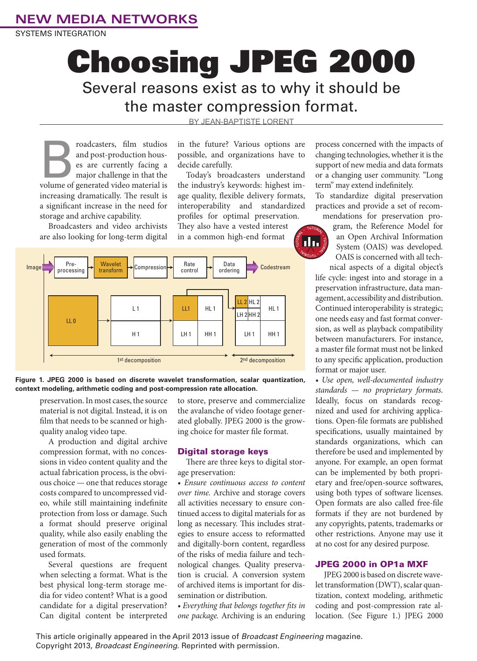### **NEW MEDIA NETWORKS**

SYSTEMS INTEGRATION

# Choosing JPEG 2000 Several reasons exist as to why it should be the master compression format.

BY JFAN-BAPTISTE LORENT

**Example 3** roadcasters, film studios and post-production hous-<br>
es are currently facing a major challenge in that the volume of generated video material is and post-production houses are currently facing a major challenge in that the increasing dramatically. The result is a significant increase in the need for storage and archive capability.

Broadcasters and video archivists are also looking for long-term digital in the future? Various options are possible, and organizations have to decide carefully.

Today's broadcasters understand the industry's keywords: highest image quality, flexible delivery formats, interoperability and standardized profiles for optimal preservation.

They also have a vested interest in a common high-end format



**Figure 1. JPEG 2000 is based on discrete wavelet transformation, scalar quantization, context modeling, arithmetic coding and post-compression rate allocation.**

preservation. In most cases, the source material is not digital. Instead, it is on film that needs to be scanned or highquality analog video tape.

A production and digital archive compression format, with no concessions in video content quality and the actual fabrication process, is the obvious choice — one that reduces storage costs compared to uncompressed video, while still maintaining indefinite protection from loss or damage. Such a format should preserve original quality, while also easily enabling the generation of most of the commonly used formats.

Several questions are frequent when selecting a format. What is the best physical long-term storage media for video content? What is a good candidate for a digital preservation? Can digital content be interpreted

to store, preserve and commercialize the avalanche of video footage generated globally. JPEG 2000 is the growing choice for master file format.

#### Digital storage keys

There are three keys to digital storage preservation:

• *Ensure continuous access to content over time.* Archive and storage covers all activities necessary to ensure continued access to digital materials for as long as necessary. This includes strategies to ensure access to reformatted and digitally-born content, regardless of the risks of media failure and technological changes. Quality preservation is crucial. A conversion system of archived items is important for dissemination or distribution.

*• Everything that belongs together fits in one package.* Archiving is an enduring

process concerned with the impacts of changing technologies, whether it is the support of new media and data formats or a changing user community. "Long term" may extend indefinitely.

To standardize digital preservation practices and provide a set of recom-

mendations for preservation program, the Reference Model for an Open Archival Information System (OAIS) was developed. OAIS is concerned with all tech-

nical aspects of a digital object's life cycle: ingest into and storage in a preservation infrastructure, data management, accessibility and distribution. Continued interoperability is strategic; one needs easy and fast format conversion, as well as playback compatibility between manufacturers. For instance, a master file format must not be linked to any specific application, production format or major user.

*• Use open, well-documented industry standards — no proprietary formats*. Ideally, focus on standards recognized and used for archiving applications. Open-file formats are published specifications, usually maintained by standards organizations, which can therefore be used and implemented by anyone. For example, an open format can be implemented by both proprietary and free/open-source softwares, using both types of software licenses. Open formats are also called free-file formats if they are not burdened by any copyrights, patents, trademarks or other restrictions. Anyone may use it at no cost for any desired purpose.

### JPEG 2000 in OP1a MXF

JPEG 2000 is based on discrete wavelet transformation (DWT), scalar quantization, context modeling, arithmetic coding and post-compression rate allocation. (See Figure 1.) JPEG 2000

This article originally appeared in the April 2013 issue of *Broadcast Engineering* magazine. Copyright 2013, *Broadcast Engineering*. Reprinted with permission.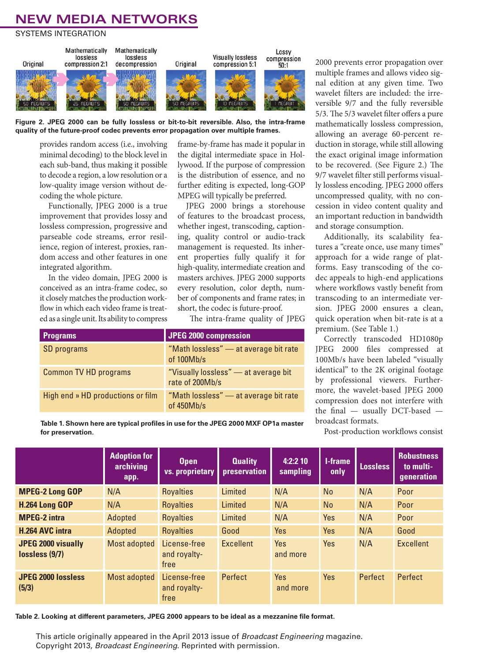## **NEW MEDIA NETWORKS**

SYSTEMS INTEGRATION





provides random access (i.e., involving minimal decoding) to the block level in each sub-band, thus making it possible to decode a region, a low resolution or a low-quality image version without decoding the whole picture.

Functionally, JPEG 2000 is a true improvement that provides lossy and lossless compression, progressive and parseable code streams, error resilience, region of interest, proxies, random access and other features in one integrated algorithm.

In the video domain, JPEG 2000 is conceived as an intra-frame codec, so it closely matches the production workflow in which each video frame is treated as a single unit. Its ability to compress

frame-by-frame has made it popular in the digital intermediate space in Hollywood. If the purpose of compression is the distribution of essence, and no further editing is expected, long-GOP MPEG will typically be preferred.

JPEG 2000 brings a storehouse of features to the broadcast process, whether ingest, transcoding, captioning, quality control or audio-track management is requested. Its inherent properties fully qualify it for high-quality, intermediate creation and masters archives. JPEG 2000 supports every resolution, color depth, number of components and frame rates; in short, the codec is future-proof.

The intra-frame quality of JPEG

| <b>Programs</b>                   | <b>JPEG 2000 compression</b>                            |
|-----------------------------------|---------------------------------------------------------|
| SD programs                       | "Math lossless" - at average bit rate<br>of $100Mb/s$   |
| <b>Common TV HD programs</b>      | "Visually lossless" - at average bit<br>rate of 200Mb/s |
| High end » HD productions or film | "Math lossless" – at average bit rate<br>of 450Mb/s     |

**Table 1. Shown here are typical profiles in use for the JPEG 2000 MXF OP1a master for preservation.**

2000 prevents error propagation over multiple frames and allows video signal edition at any given time. Two wavelet filters are included: the irreversible 9/7 and the fully reversible 5/3. The 5/3 wavelet filter offers a pure mathematically lossless compression, allowing an average 60-percent reduction in storage, while still allowing the exact original image information to be recovered. (See Figure 2.) The 9/7 wavelet filter still performs visually lossless encoding. JPEG 2000 offers uncompressed quality, with no concession in video content quality and an important reduction in bandwidth and storage consumption.

Additionally, its scalability features a "create once, use many times" approach for a wide range of platforms. Easy transcoding of the codec appeals to high-end applications where workflows vastly benefit from transcoding to an intermediate version. JPEG 2000 ensures a clean, quick operation when bit-rate is at a premium. (See Table 1.)

Correctly transcoded HD1080p JPEG 2000 files compressed at 100Mb/s have been labeled "visually identical" to the 2K original footage by professional viewers. Furthermore, the wavelet-based JPEG 2000 compression does not interfere with the final — usually DCT-based broadcast formats.

Post-production workflows consist

|                                             | <b>Adoption for</b><br>archiving<br>app. | Open<br>vs. proprietary              | <b>Quality</b><br>preservation | 4:2:210<br>sampling    | <b>I-frame</b><br>only | <b>Lossless</b> | <b>Robustness</b><br>to multi-<br>generation |
|---------------------------------------------|------------------------------------------|--------------------------------------|--------------------------------|------------------------|------------------------|-----------------|----------------------------------------------|
| <b>MPEG-2 Long GOP</b>                      | N/A                                      | <b>Royalties</b>                     | Limited                        | N/A                    | <b>No</b>              | N/A             | Poor                                         |
| H.264 Long GOP                              | N/A                                      | <b>Royalties</b>                     | Limited                        | N/A                    | <b>No</b>              | N/A             | Poor                                         |
| <b>MPEG-2 intra</b>                         | Adopted                                  | <b>Royalties</b>                     | Limited                        | N/A                    | <b>Yes</b>             | N/A             | Poor                                         |
| <b>H.264 AVC intra</b>                      | Adopted                                  | <b>Royalties</b>                     | Good                           | Yes                    | <b>Yes</b>             | N/A             | Good                                         |
| <b>JPEG 2000 visually</b><br>lossless (9/7) | <b>Most adopted</b>                      | License-free<br>and royalty-<br>free | <b>Excellent</b>               | <b>Yes</b><br>and more | <b>Yes</b>             | N/A             | <b>Excellent</b>                             |
| <b>JPEG 2000 lossless</b><br>(5/3)          | Most adopted                             | License-free<br>and royalty-<br>free | Perfect                        | Yes<br>and more        | <b>Yes</b>             | Perfect         | Perfect                                      |

**Table 2. Looking at different parameters, JPEG 2000 appears to be ideal as a mezzanine file format.**

This article originally appeared in the April 2013 issue of *Broadcast Engineering* magazine. Copyright 2013, *Broadcast Engineering*. Reprinted with permission.